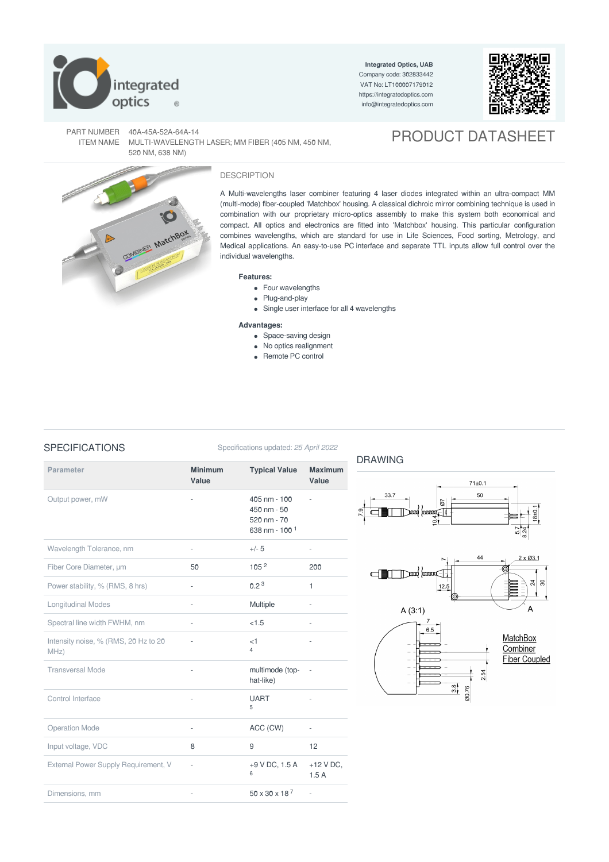

**Integrated Optics, UAB** Company code: 302833442 VAT No: LT100007179012 <https://integratedoptics.com> info@integratedoptics.com



PRODUCT DATASHEET

PART NUMBER 40A-45A-52A-64A-14 ITEM NAME MULTI-WAVELENGTH LASER; MM FIBER (405 NM, 450 NM, 520 NM, 638 NM)



## DESCRIPTION

A Multi-wavelengths laser combiner featuring 4 laser diodes integrated within an ultra-compact MM (multi-mode) fiber-coupled 'Matchbox' housing. A classical dichroic mirror combining technique is used in combination with our proprietary micro-optics assembly to make this system both economical and compact. All optics and electronics are fitted into 'Matchbox' housing. This particular configuration combines wavelengths, which are standard for use in Life Sciences, Food sorting, Metrology, and Medical applications. An easy-to-use PC interface and separate TTL inputs allow full control over the individual wavelengths.

DRAWING

## **Features:**

- Four wavelengths
- Plug-and-play
- Single user interface for all 4 wavelengths

## **Advantages:**

- Space-saving design
- No optics realignment
- Remote PC control

SPECIFICATIONS Specifications updated: 25 April 2022

| <b>Parameter</b>                             | <b>Minimum</b><br>Value  | <b>Typical Value</b>                                                             | <b>Maximum</b><br>Value  |
|----------------------------------------------|--------------------------|----------------------------------------------------------------------------------|--------------------------|
| Output power, mW                             |                          | $405 \text{ nm} - 100$<br>$450 \text{ nm} - 50$<br>520 nm - 70<br>638 nm - 100 1 |                          |
| Wavelength Tolerance, nm                     | $\overline{\phantom{a}}$ | $+/- 5$                                                                          | $\overline{\phantom{a}}$ |
| Fiber Core Diameter, um                      | 50                       | 105 <sup>2</sup>                                                                 | 200                      |
| Power stability, % (RMS, 8 hrs)              | ÷,                       | 0.2 <sup>3</sup>                                                                 | 1                        |
| <b>Longitudinal Modes</b>                    | ä,                       | Multiple                                                                         | ä,                       |
| Spectral line width FWHM, nm                 | ÷,                       | < 1.5                                                                            | L                        |
| Intensity noise, % (RMS, 20 Hz to 20<br>MHz) | $\frac{1}{2}$            | <1<br>$\overline{4}$                                                             | ٠                        |
| <b>Transversal Mode</b>                      | $\overline{\phantom{m}}$ | multimode (top-<br>hat-like)                                                     | $\overline{\phantom{a}}$ |
| Control Interface                            | $\bar{a}$                | <b>UART</b><br>5                                                                 |                          |
| <b>Operation Mode</b>                        |                          | ACC (CW)                                                                         |                          |
| Input voltage, VDC                           | 8                        | 9                                                                                | 12                       |
| External Power Supply Requirement, V         | ä,                       | +9 V DC, 1.5 A<br>6                                                              | $+12$ V DC,<br>1.5A      |
| Dimensions, mm                               |                          | $50 \times 30 \times 18^{7}$                                                     | ä,                       |



 $\frac{8}{10}$ 20.76 2.54